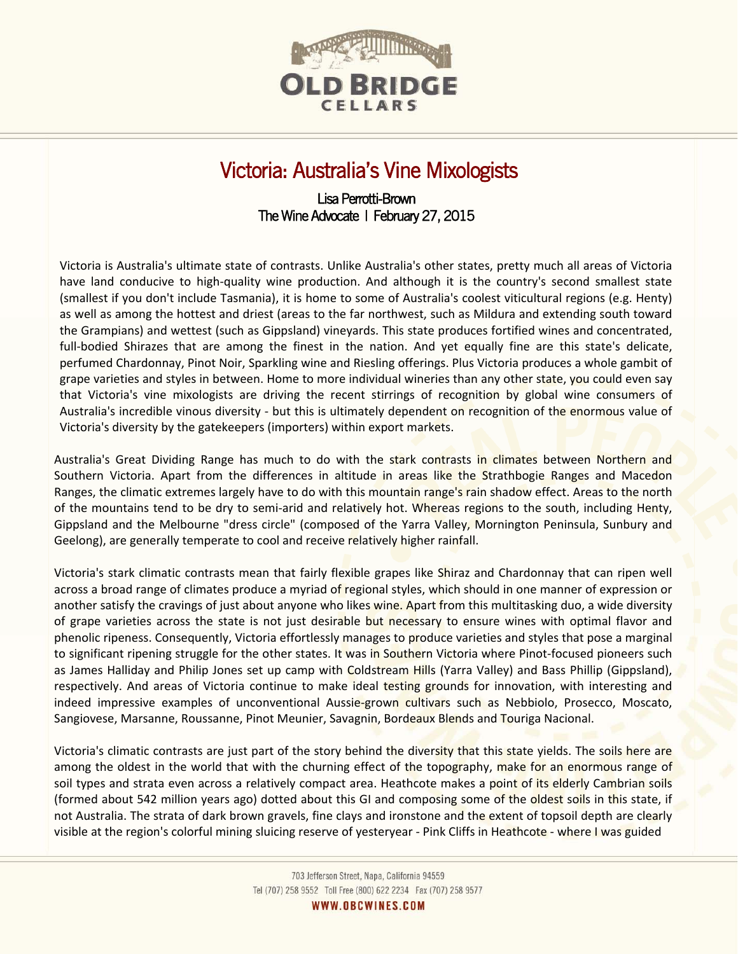

## Victoria: Australia's Vine Mixologists

## Lisa Perrotti-Brown The Wine Advocate | February 27, 2015

Victoria is Australia's ultimate state of contrasts. Unlike Australia's other states, pretty much all areas of Victoria have land conducive to high-quality wine production. And although it is the country's second smallest state (smallest if you don't include Tasmania), it is home to some of Australia's coolest viticultural regions (e.g. Henty) as well as among the hottest and driest (areas to the far northwest, such as Mildura and extending south toward the Grampians) and wettest (such as Gippsland) vineyards. This state produces fortified wines and concentrated, full-bodied Shirazes that are among the finest in the nation. And yet equally fine are this state's delicate, perfumed Chardonnay, Pinot Noir, Sparkling wine and Riesling offerings. Plus Victoria produces a whole gambit of grape varieties and styles in between. Home to more individual wineries than any other state, you could even say that Victoria's vine mixologists are driving the recent stirrings of recognition by global wine consumers of Australia's incredible vinous diversity - but this is ultimately dependent on recognition of the enormous value of Victoria's diversity by the gatekeepers (importers) within export markets.

Australia's Great Dividing Range has much to do with the stark contrasts in climates between Northern and Southern Victoria. Apart from the differences in altitude in areas like the Strathbogie Ranges and Macedon Ranges, the climatic extremes largely have to do with this mountain range's rain shadow effect. Areas to the north of the mountains tend to be dry to semi-arid and relatively hot. Whereas regions to the south, including Henty, Gippsland and the Melbourne "dress circle" (composed of the Yarra Valley, Mornington Peninsula, Sunbury and Geelong), are generally temperate to cool and receive relatively higher rainfall.

Victoria's stark climatic contrasts mean that fairly flexible grapes like Shiraz and Chardonnay that can ripen well across a broad range of climates produce a myriad of regional styles, which should in one manner of expression or another satisfy the cravings of just about anyone who likes wine. Apart from this multitasking duo, a wide diversity of grape varieties across the state is not just desirable but necessary to ensure wines with optimal flavor and phenolic ripeness. Consequently, Victoria effortlessly manages to produce varieties and styles that pose a marginal to significant ripening struggle for the other states. It was in Southern Victoria where Pinot-focused pioneers such as James Halliday and Philip Jones set up camp with Coldstream Hills (Yarra Valley) and Bass Phillip (Gippsland), respectively. And areas of Victoria continue to make ideal testing grounds for innovation, with interesting and indeed impressive examples of unconventional Aussie-grown cultivars such as Nebbiolo, Prosecco, Moscato, Sangiovese, Marsanne, Roussanne, Pinot Meunier, Savagnin, Bordeaux Blends and Touriga Nacional.

Victoria's climatic contrasts are just part of the story behind the diversity that this state yields. The soils here are among the oldest in the world that with the churning effect of the topography, make for an enormous range of soil types and strata even across a relatively compact area. Heathcote makes a point of its elderly Cambrian soils (formed about 542 million years ago) dotted about this GI and composing some of the oldest soils in this state, if not Australia. The strata of dark brown gravels, fine clays and ironstone and the extent of topsoil depth are clearly visible at the region's colorful mining sluicing reserve of yesteryear - Pink Cliffs in Heathcote - where I was guided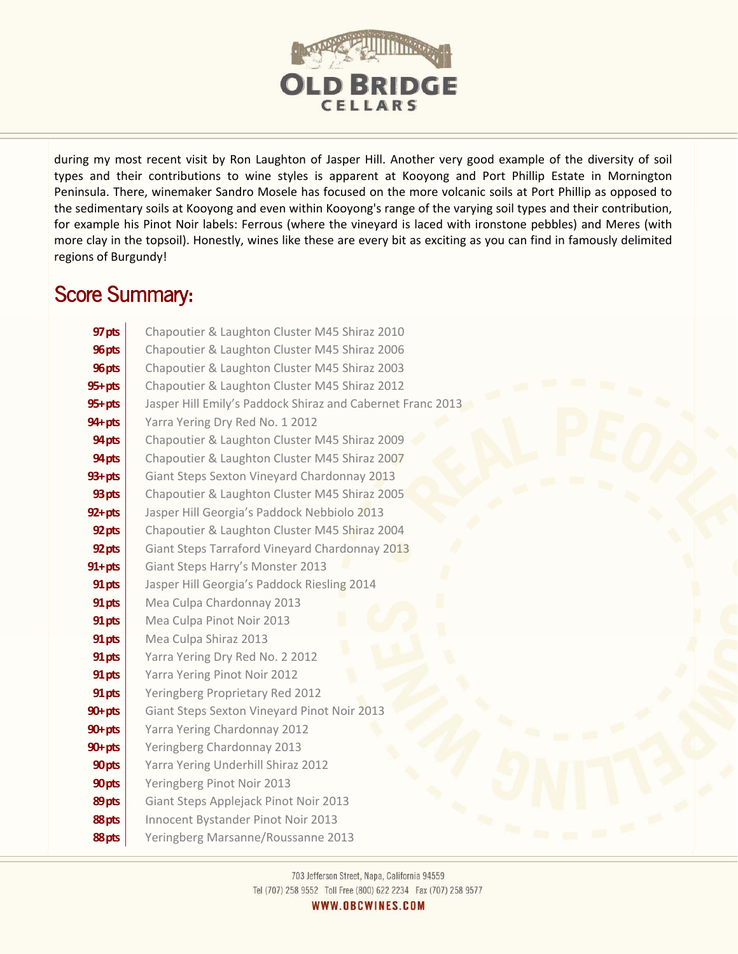

during my most recent visit by Ron Laughton of Jasper Hill. Another very good example of the diversity of soil types and their contributions to wine styles is apparent at Kooyong and Port Phillip Estate in Mornington Peninsula. There, winemaker Sandro Mosele has focused on the more volcanic soils at Port Phillip as opposed to the sedimentary soils at Kooyong and even within Kooyong's range of the varying soil types and their contribution, for example his Pinot Noir labels: Ferrous (where the vineyard is laced with ironstone pebbles) and Meres (with more clay in the topsoil). Honestly, wines like these are every bit as exciting as you can find in famously delimited regions of Burgundy!

## Score Summary:

| 97 pts      | Chapoutier & Laughton Cluster M45 Shiraz 2010              |
|-------------|------------------------------------------------------------|
| 96 pts      | Chapoutier & Laughton Cluster M45 Shiraz 2006              |
| 96 pts      | Chapoutier & Laughton Cluster M45 Shiraz 2003              |
| $95 + pts$  | Chapoutier & Laughton Cluster M45 Shiraz 2012              |
| $95 + pts$  | Jasper Hill Emily's Paddock Shiraz and Cabernet Franc 2013 |
| $94 + pts$  | Yarra Yering Dry Red No. 1 2012                            |
| 94 pts      | Chapoutier & Laughton Cluster M45 Shiraz 2009              |
| 94 pts      | Chapoutier & Laughton Cluster M45 Shiraz 2007              |
| $93 + pts$  | Giant Steps Sexton Vineyard Chardonnay 2013                |
| 93 pts      | Chapoutier & Laughton Cluster M45 Shiraz 2005              |
| $92 + pts$  | Jasper Hill Georgia's Paddock Nebbiolo 2013                |
| 92 pts      | Chapoutier & Laughton Cluster M45 Shiraz 2004              |
| 92 pts      | Giant Steps Tarraford Vineyard Chardonnay 2013             |
| $91 + p$ ts | Giant Steps Harry's Monster 2013                           |
| 91 pts      | Jasper Hill Georgia's Paddock Riesling 2014                |
| 91 pts      | Mea Culpa Chardonnay 2013                                  |
| 91 pts      | Mea Culpa Pinot Noir 2013                                  |
| 91 pts      | Mea Culpa Shiraz 2013                                      |
| 91 pts      | Yarra Yering Dry Red No. 2 2012                            |
| 91 pts      | Yarra Yering Pinot Noir 2012                               |
| 91 pts      | Yeringberg Proprietary Red 2012                            |
| $90 + p$ ts | Giant Steps Sexton Vineyard Pinot Noir 2013                |
| $90 + p$ ts | Yarra Yering Chardonnay 2012                               |
| $90+pts$    | Yeringberg Chardonnay 2013                                 |
| 90 pts      | Yarra Yering Underhill Shiraz 2012                         |
| 90 pts      | Yeringberg Pinot Noir 2013                                 |
| 89 pts      | Giant Steps Applejack Pinot Noir 2013                      |
| 88 pts      | Innocent Bystander Pinot Noir 2013                         |
| 88 pts      | Yeringberg Marsanne/Roussanne 2013                         |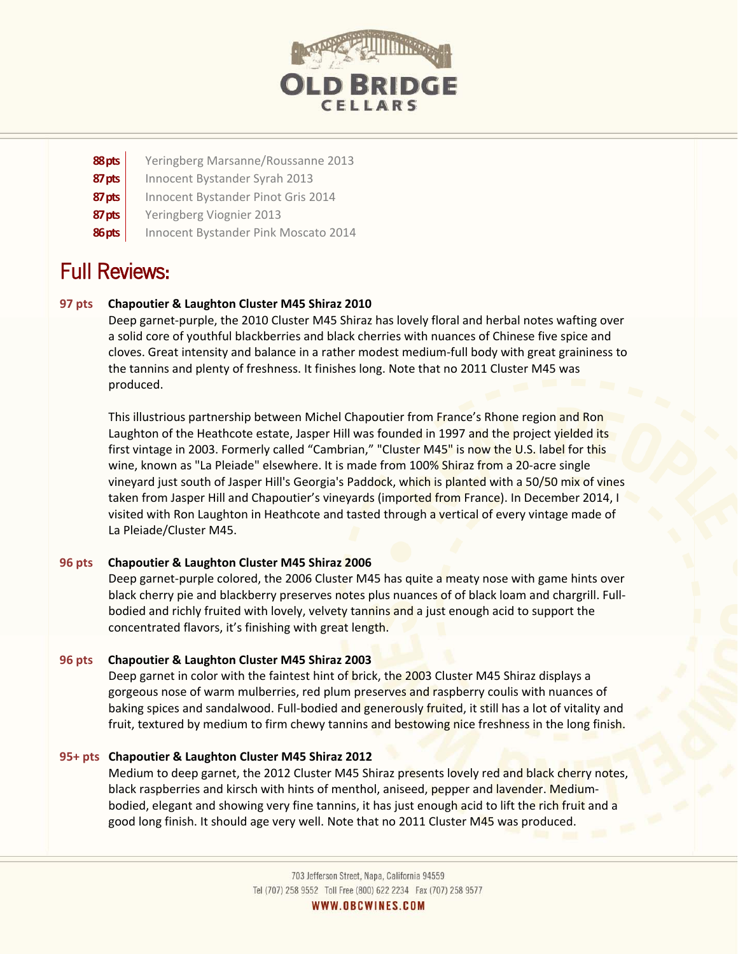

- **88pts** Yeringberg Marsanne/Roussanne 2013
- **87 pts** | Innocent Bystander Syrah 2013
- **87 pts** | Innocent Bystander Pinot Gris 2014
- **87 pts** | Yeringberg Viognier 2013
- **86 pts** | Innocent Bystander Pink Moscato 2014

# Full Reviews:

## **97 pts Chapoutier & Laughton Cluster M45 Shiraz 2010**

Deep garnet-purple, the 2010 Cluster M45 Shiraz has lovely floral and herbal notes wafting over a solid core of youthful blackberries and black cherries with nuances of Chinese five spice and cloves. Great intensity and balance in a rather modest medium-full body with great graininess to the tannins and plenty of freshness. It finishes long. Note that no 2011 Cluster M45 was produced.

This illustrious partnership between Michel Chapoutier from France's Rhone region and Ron Laughton of the Heathcote estate, Jasper Hill was founded in 1997 and the project yielded its first vintage in 2003. Formerly called "Cambrian," "Cluster M45" is now the U.S. label for this wine, known as "La Pleiade" elsewhere. It is made from 100% Shiraz from a 20-acre single vineyard just south of Jasper Hill's Georgia's Paddock, which is planted with a 50/50 mix of vines taken from Jasper Hill and Chapoutier's vineyards (imported from France). In December 2014, I visited with Ron Laughton in Heathcote and tasted through a vertical of every vintage made of La Pleiade/Cluster M45.

## **96 pts Chapoutier & Laughton Cluster M45 Shiraz 2006**

Deep garnet-purple colored, the 2006 Cluster M45 has quite a meaty nose with game hints over black cherry pie and blackberry preserves notes plus nuances of of black loam and chargrill. Fullbodied and richly fruited with lovely, velvety tannins and a just enough acid to support the concentrated flavors, it's finishing with great length.

## **96 pts Chapoutier & Laughton Cluster M45 Shiraz 2003**

Deep garnet in color with the faintest hint of brick, the 2003 Cluster M45 Shiraz displays a gorgeous nose of warm mulberries, red plum preserves and raspberry coulis with nuances of baking spices and sandalwood. Full-bodied and generously fruited, it still has a lot of vitality and fruit, textured by medium to firm chewy tannins and bestowing nice freshness in the long finish.

## **95+ pts Chapoutier & Laughton Cluster M45 Shiraz 2012**

Medium to deep garnet, the 2012 Cluster M45 Shiraz presents lovely red and black cherry notes, black raspberries and kirsch with hints of menthol, aniseed, pepper and lavender. Mediumbodied, elegant and showing very fine tannins, it has just enough acid to lift the rich fruit and a good long finish. It should age very well. Note that no 2011 Cluster M45 was produced.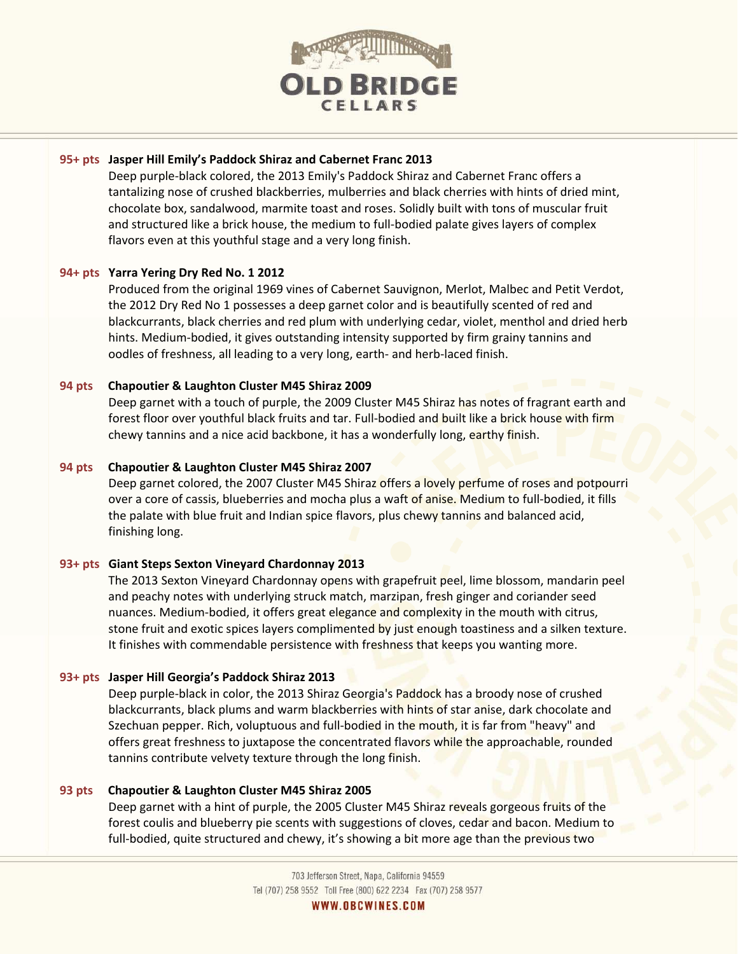

### **95+ pts Jasper Hill Emily's Paddock Shiraz and Cabernet Franc 2013**

Deep purple-black colored, the 2013 Emily's Paddock Shiraz and Cabernet Franc offers a tantalizing nose of crushed blackberries, mulberries and black cherries with hints of dried mint, chocolate box, sandalwood, marmite toast and roses. Solidly built with tons of muscular fruit and structured like a brick house, the medium to full-bodied palate gives layers of complex flavors even at this youthful stage and a very long finish.

## **94+ pts Yarra Yering Dry Red No. 1 2012**

Produced from the original 1969 vines of Cabernet Sauvignon, Merlot, Malbec and Petit Verdot, the 2012 Dry Red No 1 possesses a deep garnet color and is beautifully scented of red and blackcurrants, black cherries and red plum with underlying cedar, violet, menthol and dried herb hints. Medium-bodied, it gives outstanding intensity supported by firm grainy tannins and oodles of freshness, all leading to a very long, earth- and herb-laced finish.

### **94 pts Chapoutier & Laughton Cluster M45 Shiraz 2009**

Deep garnet with a touch of purple, the 2009 Cluster M45 Shiraz has notes of fragrant earth and forest floor over youthful black fruits and tar. Full-bodied and built like a brick house with firm chewy tannins and a nice acid backbone, it has a wonderfully long, earthy finish.

### **94 pts Chapoutier & Laughton Cluster M45 Shiraz 2007**

Deep garnet colored, the 2007 Cluster M45 Shiraz offers a lovely perfume of roses and potpourri over a core of cassis, blueberries and mocha plus a waft of anise. Medium to full-bodied, it fills the palate with blue fruit and Indian spice flavors, plus chewy tannins and balanced acid, finishing long.

#### **93+ pts Giant Steps Sexton Vineyard Chardonnay 2013**

The 2013 Sexton Vineyard Chardonnay opens with grapefruit peel, lime blossom, mandarin peel and peachy notes with underlying struck match, marzipan, fresh ginger and coriander seed nuances. Medium-bodied, it offers great elegance and complexity in the mouth with citrus, stone fruit and exotic spices layers complimented by just enough toastiness and a silken texture. It finishes with commendable persistence with freshness that keeps you wanting more.

#### **93+ pts Jasper Hill Georgia's Paddock Shiraz 2013**

Deep purple-black in color, the 2013 Shiraz Georgia's Paddock has a broody nose of crushed blackcurrants, black plums and warm blackberries with hints of star anise, dark chocolate and Szechuan pepper. Rich, voluptuous and full-bodied in the mouth, it is far from "heavy" and offers great freshness to juxtapose the concentrated flavors while the approachable, rounded tannins contribute velvety texture through the long finish.

#### **93 pts Chapoutier & Laughton Cluster M45 Shiraz 2005**

Deep garnet with a hint of purple, the 2005 Cluster M45 Shiraz reveals gorgeous fruits of the forest coulis and blueberry pie scents with suggestions of cloves, cedar and bacon. Medium to full-bodied, quite structured and chewy, it's showing a bit more age than the previous two

> 703 Jefferson Street, Napa, California 94559 Tel (707) 258 9552 Toll Free (800) 622 2234 Fax (707) 258 9577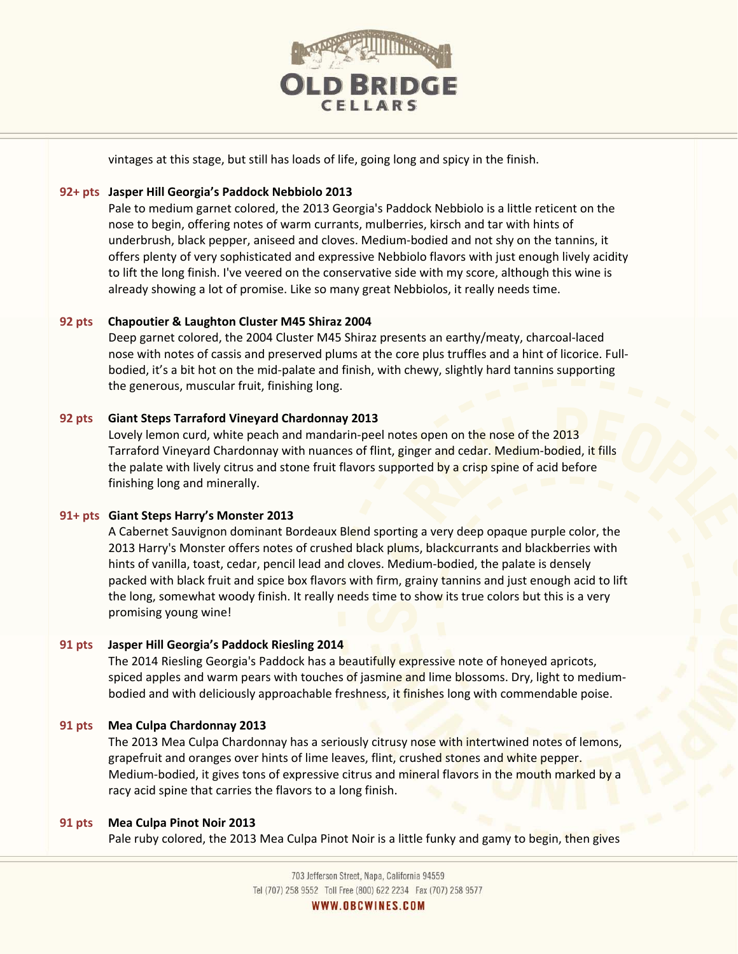

vintages at this stage, but still has loads of life, going long and spicy in the finish.

## **92+ pts Jasper Hill Georgia's Paddock Nebbiolo 2013**

Pale to medium garnet colored, the 2013 Georgia's Paddock Nebbiolo is a little reticent on the nose to begin, offering notes of warm currants, mulberries, kirsch and tar with hints of underbrush, black pepper, aniseed and cloves. Medium-bodied and not shy on the tannins, it offers plenty of very sophisticated and expressive Nebbiolo flavors with just enough lively acidity to lift the long finish. I've veered on the conservative side with my score, although this wine is already showing a lot of promise. Like so many great Nebbiolos, it really needs time.

## **92 pts Chapoutier & Laughton Cluster M45 Shiraz 2004**

Deep garnet colored, the 2004 Cluster M45 Shiraz presents an earthy/meaty, charcoal-laced nose with notes of cassis and preserved plums at the core plus truffles and a hint of licorice. Fullbodied, it's a bit hot on the mid-palate and finish, with chewy, slightly hard tannins supporting the generous, muscular fruit, finishing long.

## **92 pts Giant Steps Tarraford Vineyard Chardonnay 2013**

Lovely lemon curd, white peach and mandarin-peel notes open on the nose of the 2013 Tarraford Vineyard Chardonnay with nuances of flint, ginger and cedar. Medium-bodied, it fills the palate with lively citrus and stone fruit flavors supported by a crisp spine of acid before finishing long and minerally.

## **91+ pts Giant Steps Harry's Monster 2013**

A Cabernet Sauvignon dominant Bordeaux Blend sporting a very deep opaque purple color, the 2013 Harry's Monster offers notes of crushed black plums, blackcurrants and blackberries with hints of vanilla, toast, cedar, pencil lead and cloves. Medium-bodied, the palate is densely packed with black fruit and spice box flavors with firm, grainy tannins and just enough acid to lift the long, somewhat woody finish. It really needs time to show its true colors but this is a very promising young wine!

## **91 pts Jasper Hill Georgia's Paddock Riesling 2014**

The 2014 Riesling Georgia's Paddock has a beautifully expressive note of honeyed apricots, spiced apples and warm pears with touches of jasmine and lime blossoms. Dry, light to mediumbodied and with deliciously approachable freshness, it finishes long with commendable poise.

## **91 pts Mea Culpa Chardonnay 2013**

The 2013 Mea Culpa Chardonnay has a seriously citrusy nose with intertwined notes of lemons, grapefruit and oranges over hints of lime leaves, flint, crushed stones and white pepper. Medium-bodied, it gives tons of expressive citrus and mineral flavors in the mouth marked by a racy acid spine that carries the flavors to a long finish.

## **91 pts Mea Culpa Pinot Noir 2013**

Pale ruby colored, the 2013 Mea Culpa Pinot Noir is a little funky and gamy to begin, then gives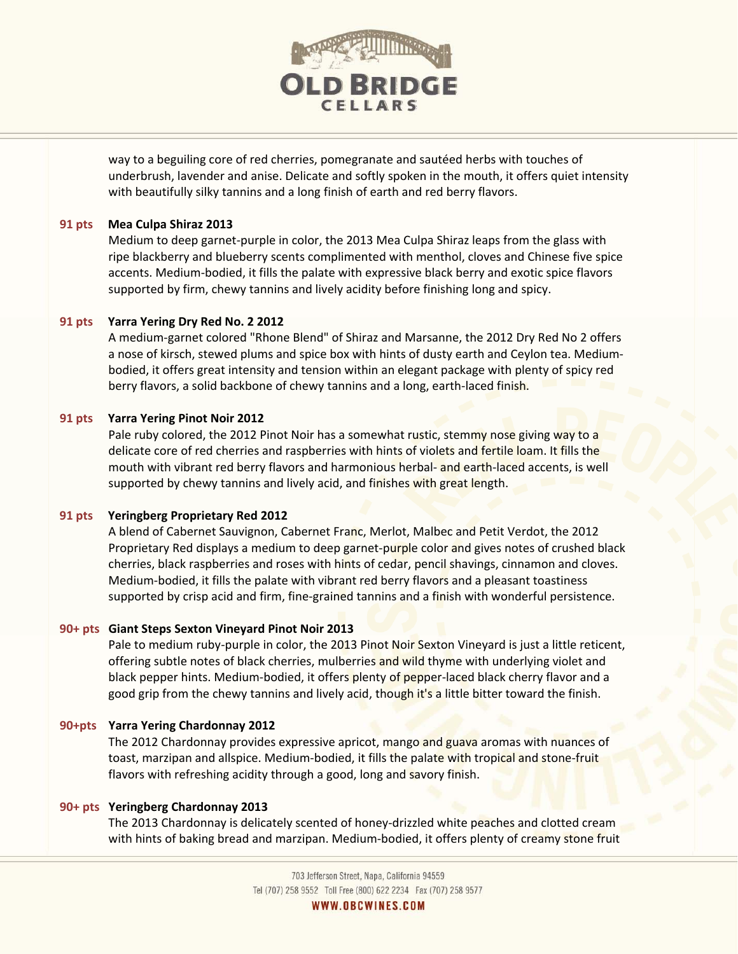

way to a beguiling core of red cherries, pomegranate and sautéed herbs with touches of underbrush, lavender and anise. Delicate and softly spoken in the mouth, it offers quiet intensity with beautifully silky tannins and a long finish of earth and red berry flavors.

#### **91 pts Mea Culpa Shiraz 2013**

Medium to deep garnet-purple in color, the 2013 Mea Culpa Shiraz leaps from the glass with ripe blackberry and blueberry scents complimented with menthol, cloves and Chinese five spice accents. Medium-bodied, it fills the palate with expressive black berry and exotic spice flavors supported by firm, chewy tannins and lively acidity before finishing long and spicy.

### **91 pts Yarra Yering Dry Red No. 2 2012**

A medium-garnet colored "Rhone Blend" of Shiraz and Marsanne, the 2012 Dry Red No 2 offers a nose of kirsch, stewed plums and spice box with hints of dusty earth and Ceylon tea. Mediumbodied, it offers great intensity and tension within an elegant package with plenty of spicy red berry flavors, a solid backbone of chewy tannins and a long, earth-laced finish.

### **91 pts Yarra Yering Pinot Noir 2012**

Pale ruby colored, the 2012 Pinot Noir has a somewhat rustic, stemmy nose giving way to a delicate core of red cherries and raspberries with hints of violets and fertile loam. It fills the mouth with vibrant red berry flavors and harmonious herbal- and earth-laced accents, is well supported by chewy tannins and lively acid, and finishes with great length.

## **91 pts Yeringberg Proprietary Red 2012**

A blend of Cabernet Sauvignon, Cabernet Franc, Merlot, Malbec and Petit Verdot, the 2012 Proprietary Red displays a medium to deep garnet-purple color and gives notes of crushed black cherries, black raspberries and roses with hints of cedar, pencil shavings, cinnamon and cloves. Medium-bodied, it fills the palate with vibrant red berry flavors and a pleasant toastiness supported by crisp acid and firm, fine-grained tannins and a finish with wonderful persistence.

#### **90+ pts Giant Steps Sexton Vineyard Pinot Noir 2013**

Pale to medium ruby-purple in color, the 2013 Pinot Noir Sexton Vineyard is just a little reticent, offering subtle notes of black cherries, mulberries and wild thyme with underlying violet and black pepper hints. Medium-bodied, it offers plenty of pepper-laced black cherry flavor and a good grip from the chewy tannins and lively acid, though it's a little bitter toward the finish.

## **90+pts Yarra Yering Chardonnay 2012**

The 2012 Chardonnay provides expressive apricot, mango and guava aromas with nuances of toast, marzipan and allspice. Medium-bodied, it fills the palate with tropical and stone-fruit flavors with refreshing acidity through a good, long and savory finish.

#### **90+ pts Yeringberg Chardonnay 2013**

The 2013 Chardonnay is delicately scented of honey-drizzled white peaches and clotted cream with hints of baking bread and marzipan. Medium-bodied, it offers plenty of creamy stone fruit

> 703 Jefferson Street, Napa, California 94559 Tel (707) 258 9552 Toll Free (800) 622 2234 Fax (707) 258 9577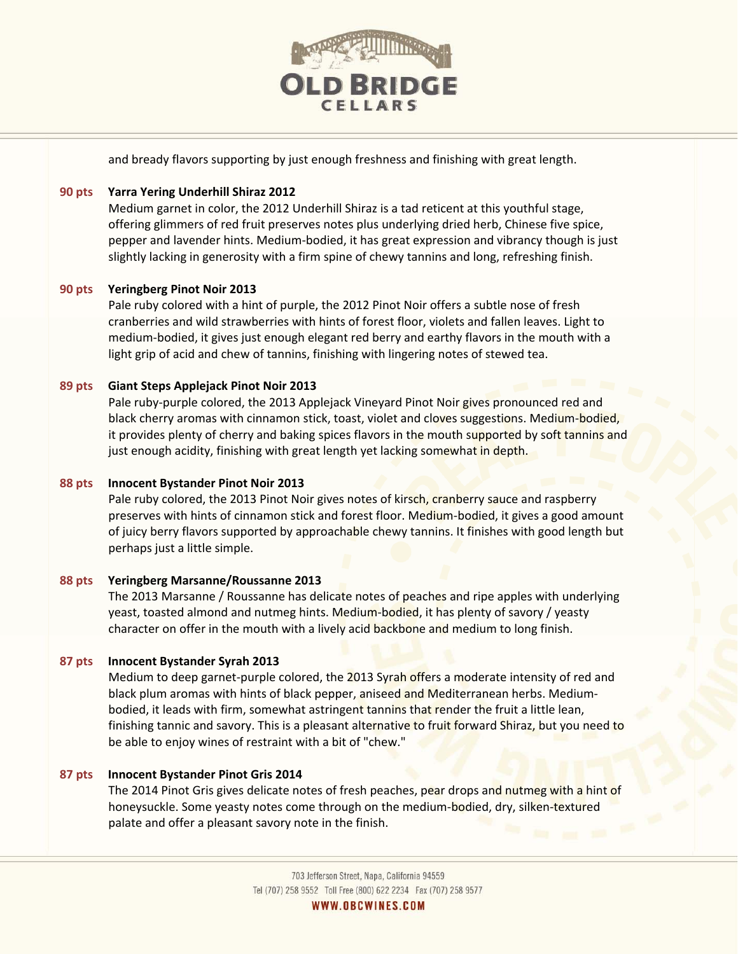

and bready flavors supporting by just enough freshness and finishing with great length.

## **90 pts Yarra Yering Underhill Shiraz 2012**

Medium garnet in color, the 2012 Underhill Shiraz is a tad reticent at this youthful stage, offering glimmers of red fruit preserves notes plus underlying dried herb, Chinese five spice, pepper and lavender hints. Medium-bodied, it has great expression and vibrancy though is just slightly lacking in generosity with a firm spine of chewy tannins and long, refreshing finish.

## **90 pts Yeringberg Pinot Noir 2013**

Pale ruby colored with a hint of purple, the 2012 Pinot Noir offers a subtle nose of fresh cranberries and wild strawberries with hints of forest floor, violets and fallen leaves. Light to medium-bodied, it gives just enough elegant red berry and earthy flavors in the mouth with a light grip of acid and chew of tannins, finishing with lingering notes of stewed tea.

## **89 pts Giant Steps Applejack Pinot Noir 2013**

Pale ruby-purple colored, the 2013 Applejack Vineyard Pinot Noir gives pronounced red and black cherry aromas with cinnamon stick, toast, violet and cloves suggestions. Medium-bodied, it provides plenty of cherry and baking spices flavors in the mouth supported by soft tannins and just enough acidity, finishing with great length yet lacking somewhat in depth.

## **88 pts Innocent Bystander Pinot Noir 2013**

Pale ruby colored, the 2013 Pinot Noir gives notes of kirsch, cranberry sauce and raspberry preserves with hints of cinnamon stick and forest floor. Medium-bodied, it gives a good amount of juicy berry flavors supported by approachable chewy tannins. It finishes with good length but perhaps just a little simple.

## **88 pts Yeringberg Marsanne/Roussanne 2013**

The 2013 Marsanne / Roussanne has delicate notes of peaches and ripe apples with underlying yeast, toasted almond and nutmeg hints. Medium-bodied, it has plenty of savory / yeasty character on offer in the mouth with a lively acid backbone and medium to long finish.

## **87 pts Innocent Bystander Syrah 2013**

Medium to deep garnet-purple colored, the 2013 Syrah offers a moderate intensity of red and black plum aromas with hints of black pepper, aniseed and Mediterranean herbs. Mediumbodied, it leads with firm, somewhat astringent tannins that render the fruit a little lean, finishing tannic and savory. This is a pleasant alternative to fruit forward Shiraz, but you need to be able to enjoy wines of restraint with a bit of "chew."

## **87 pts Innocent Bystander Pinot Gris 2014**

The 2014 Pinot Gris gives delicate notes of fresh peaches, pear drops and nutmeg with a hint of honeysuckle. Some yeasty notes come through on the medium-bodied, dry, silken-textured palate and offer a pleasant savory note in the finish.